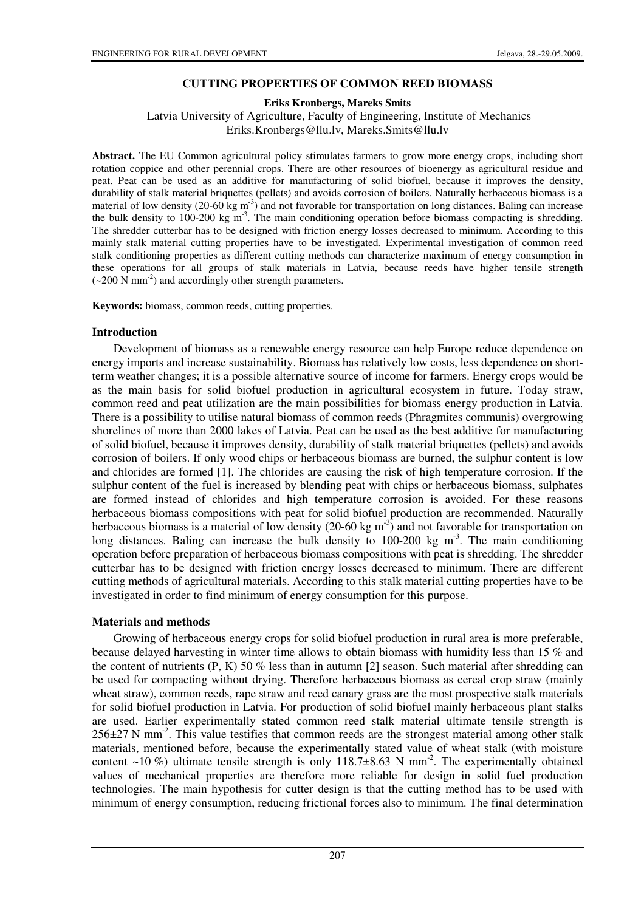# **CUTTING PROPERTIES OF COMMON REED BIOMASS**

**Eriks Kronbergs, Mareks Smits** 

 Latvia University of Agriculture, Faculty of Engineering, Institute of Mechanics Eriks.Kronbergs@llu.lv, Mareks.Smits@llu.lv

**Abstract.** The EU Common agricultural policy stimulates farmers to grow more energy crops, including short rotation coppice and other perennial crops. There are other resources of bioenergy as agricultural residue and peat. Peat can be used as an additive for manufacturing of solid biofuel, because it improves the density, durability of stalk material briquettes (pellets) and avoids corrosion of boilers. Naturally herbaceous biomass is a material of low density (20-60 kg  $m<sup>3</sup>$ ) and not favorable for transportation on long distances. Baling can increase the bulk density to 100-200 kg  $m<sup>3</sup>$ . The main conditioning operation before biomass compacting is shredding. The shredder cutterbar has to be designed with friction energy losses decreased to minimum. According to this mainly stalk material cutting properties have to be investigated. Experimental investigation of common reed stalk conditioning properties as different cutting methods can characterize maximum of energy consumption in these operations for all groups of stalk materials in Latvia, because reeds have higher tensile strength  $(-200 \text{ N mm}^2)$  and accordingly other strength parameters.

**Keywords:** biomass, common reeds, cutting properties.

## **Introduction**

Development of biomass as a renewable energy resource can help Europe reduce dependence on energy imports and increase sustainability. Biomass has relatively low costs, less dependence on shortterm weather changes; it is a possible alternative source of income for farmers. Energy crops would be as the main basis for solid biofuel production in agricultural ecosystem in future. Today straw, common reed and peat utilization are the main possibilities for biomass energy production in Latvia. There is a possibility to utilise natural biomass of common reeds (Phragmites communis) overgrowing shorelines of more than 2000 lakes of Latvia. Peat can be used as the best additive for manufacturing of solid biofuel, because it improves density, durability of stalk material briquettes (pellets) and avoids corrosion of boilers. If only wood chips or herbaceous biomass are burned, the sulphur content is low and chlorides are formed [1]. The chlorides are causing the risk of high temperature corrosion. If the sulphur content of the fuel is increased by blending peat with chips or herbaceous biomass, sulphates are formed instead of chlorides and high temperature corrosion is avoided. For these reasons herbaceous biomass compositions with peat for solid biofuel production are recommended. Naturally herbaceous biomass is a material of low density (20-60 kg  $m<sup>3</sup>$ ) and not favorable for transportation on long distances. Baling can increase the bulk density to 100-200 kg  $m<sup>3</sup>$ . The main conditioning operation before preparation of herbaceous biomass compositions with peat is shredding. The shredder cutterbar has to be designed with friction energy losses decreased to minimum. There are different cutting methods of agricultural materials. According to this stalk material cutting properties have to be investigated in order to find minimum of energy consumption for this purpose.

## **Materials and methods**

Growing of herbaceous energy crops for solid biofuel production in rural area is more preferable, because delayed harvesting in winter time allows to obtain biomass with humidity less than 15 % and the content of nutrients  $(P, K)$  50 % less than in autumn [2] season. Such material after shredding can be used for compacting without drying. Therefore herbaceous biomass as cereal crop straw (mainly wheat straw), common reeds, rape straw and reed canary grass are the most prospective stalk materials for solid biofuel production in Latvia. For production of solid biofuel mainly herbaceous plant stalks are used. Earlier experimentally stated common reed stalk material ultimate tensile strength is  $256\pm27$  N mm<sup>-2</sup>. This value testifies that common reeds are the strongest material among other stalk materials, mentioned before, because the experimentally stated value of wheat stalk (with moisture content ~10 %) ultimate tensile strength is only 118.7 $\pm$ 8.63 N mm<sup>-2</sup>. The experimentally obtained values of mechanical properties are therefore more reliable for design in solid fuel production technologies. The main hypothesis for cutter design is that the cutting method has to be used with minimum of energy consumption, reducing frictional forces also to minimum. The final determination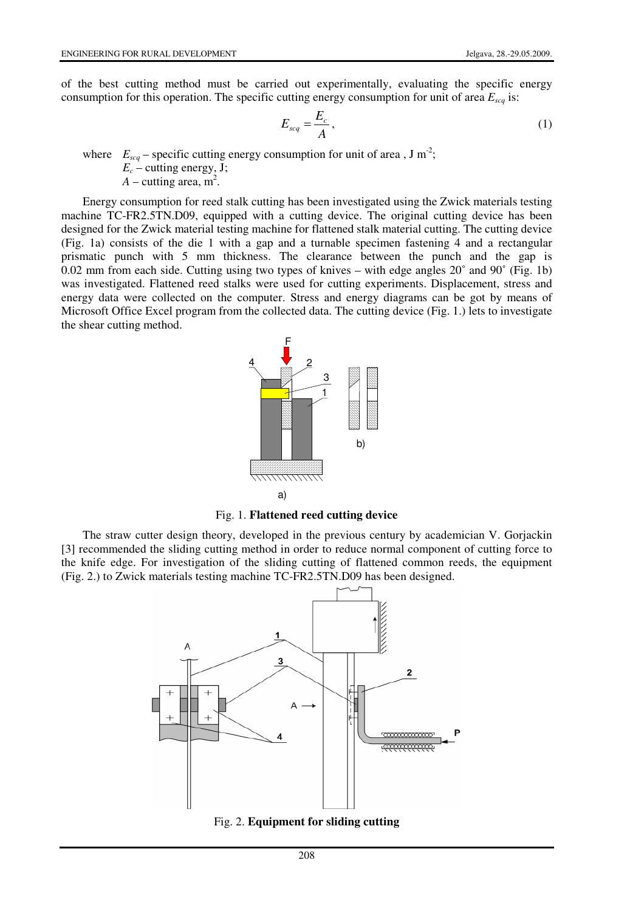of the best cutting method must be carried out experimentally, evaluating the specific energy consumption for this operation. The specific cutting energy consumption for unit of area *Escq* is:

$$
E_{\text{scq}} = \frac{E_c}{A},\tag{1}
$$

where  $E_{\text{scq}}$  – specific cutting energy consumption for unit of area, J m<sup>-2</sup>;

 $E_c$  – cutting energy, J;

 $A$  – cutting area,  $m^2$ .

Energy consumption for reed stalk cutting has been investigated using the Zwick materials testing machine TC-FR2.5TN.D09, equipped with a cutting device. The original cutting device has been designed for the Zwick material testing machine for flattened stalk material cutting. The cutting device (Fig. 1a) consists of the die 1 with a gap and a turnable specimen fastening 4 and a rectangular prismatic punch with 5 mm thickness. The clearance between the punch and the gap is 0.02 mm from each side. Cutting using two types of knives – with edge angles 20˚ and 90˚ (Fig. 1b) was investigated. Flattened reed stalks were used for cutting experiments. Displacement, stress and energy data were collected on the computer. Stress and energy diagrams can be got by means of Microsoft Office Excel program from the collected data. The cutting device (Fig. 1.) lets to investigate the shear cutting method.



Fig. 1. **Flattened reed cutting device**

The straw cutter design theory, developed in the previous century by academician V. Gorjackin [3] recommended the sliding cutting method in order to reduce normal component of cutting force to the knife edge. For investigation of the sliding cutting of flattened common reeds, the equipment (Fig. 2.) to Zwick materials testing machine TC-FR2.5TN.D09 has been designed.



Fig. 2. **Equipment for sliding cutting**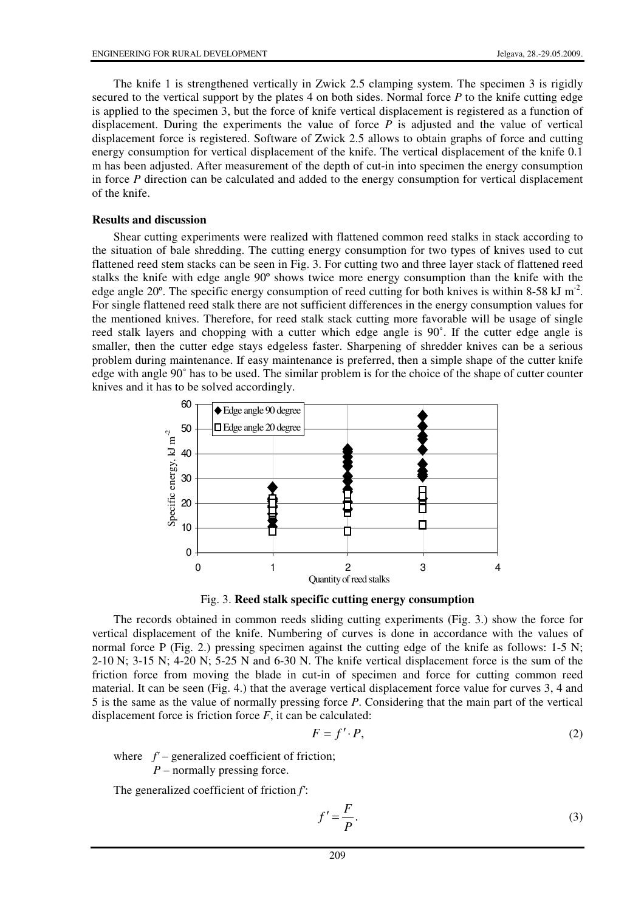The knife 1 is strengthened vertically in Zwick 2.5 clamping system. The specimen 3 is rigidly secured to the vertical support by the plates 4 on both sides. Normal force *P* to the knife cutting edge is applied to the specimen 3, but the force of knife vertical displacement is registered as a function of displacement. During the experiments the value of force *P* is adjusted and the value of vertical displacement force is registered. Software of Zwick 2.5 allows to obtain graphs of force and cutting energy consumption for vertical displacement of the knife. The vertical displacement of the knife 0.1 m has been adjusted. After measurement of the depth of cut-in into specimen the energy consumption in force *P* direction can be calculated and added to the energy consumption for vertical displacement of the knife.

### **Results and discussion**

Shear cutting experiments were realized with flattened common reed stalks in stack according to the situation of bale shredding. The cutting energy consumption for two types of knives used to cut flattened reed stem stacks can be seen in Fig. 3. For cutting two and three layer stack of flattened reed stalks the knife with edge angle 90º shows twice more energy consumption than the knife with the edge angle 20 $^{\circ}$ . The specific energy consumption of reed cutting for both knives is within 8-58 kJ m<sup>-2</sup>. For single flattened reed stalk there are not sufficient differences in the energy consumption values for the mentioned knives. Therefore, for reed stalk stack cutting more favorable will be usage of single reed stalk layers and chopping with a cutter which edge angle is 90˚. If the cutter edge angle is smaller, then the cutter edge stays edgeless faster. Sharpening of shredder knives can be a serious problem during maintenance. If easy maintenance is preferred, then a simple shape of the cutter knife edge with angle 90˚ has to be used. The similar problem is for the choice of the shape of cutter counter knives and it has to be solved accordingly.



Fig. 3. **Reed stalk specific cutting energy consumption** 

The records obtained in common reeds sliding cutting experiments (Fig. 3.) show the force for vertical displacement of the knife. Numbering of curves is done in accordance with the values of normal force P (Fig. 2.) pressing specimen against the cutting edge of the knife as follows: 1-5 N; 2-10 N; 3-15 N; 4-20 N; 5-25 N and 6-30 N. The knife vertical displacement force is the sum of the friction force from moving the blade in cut-in of specimen and force for cutting common reed material. It can be seen (Fig. 4.) that the average vertical displacement force value for curves 3, 4 and 5 is the same as the value of normally pressing force *P*. Considering that the main part of the vertical displacement force is friction force  $F$ , it can be calculated:

$$
F = f' \cdot P,\tag{2}
$$

where  $f'$  – generalized coefficient of friction;

*P* – normally pressing force.

The generalized coefficient of friction *f'*:

$$
f' = \frac{F}{P}.\tag{3}
$$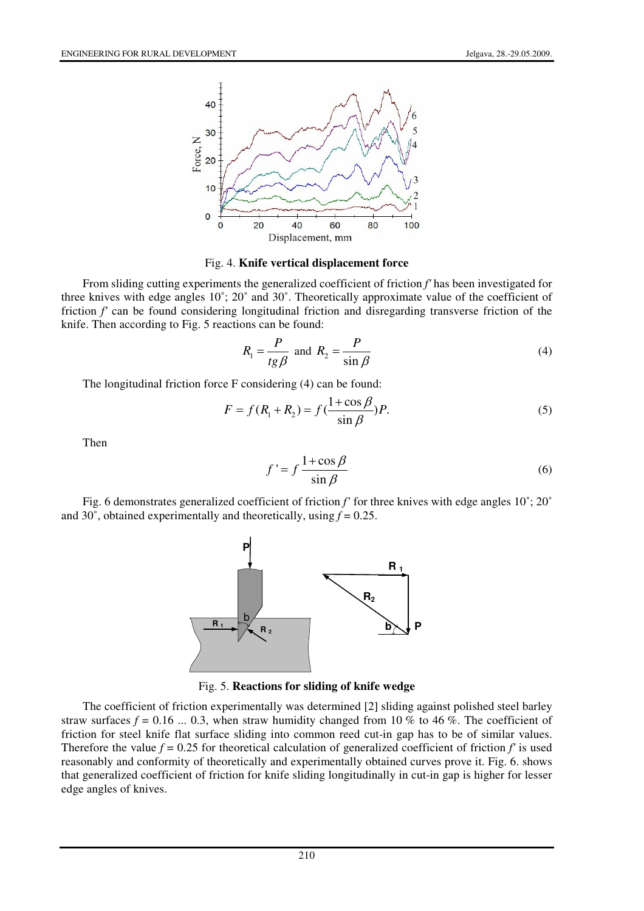

#### Fig. 4. **Knife vertical displacement force**

From sliding cutting experiments the generalized coefficient of friction *f'* has been investigated for three knives with edge angles 10˚; 20˚ and 30˚. Theoretically approximate value of the coefficient of friction *f'* can be found considering longitudinal friction and disregarding transverse friction of the knife. Then according to Fig. 5 reactions can be found:

$$
R_1 = \frac{P}{tg\beta} \text{ and } R_2 = \frac{P}{\sin\beta} \tag{4}
$$

The longitudinal friction force F considering (4) can be found:

$$
F = f(R_1 + R_2) = f(\frac{1 + \cos \beta}{\sin \beta})P.
$$
 (5)

Then

$$
f' = f \frac{1 + \cos \beta}{\sin \beta} \tag{6}
$$

Fig. 6 demonstrates generalized coefficient of friction *f'* for three knives with edge angles 10˚; 20˚ and 30 $\degree$ , obtained experimentally and theoretically, using  $f = 0.25$ .



Fig. 5. **Reactions for sliding of knife wedge** 

The coefficient of friction experimentally was determined [2] sliding against polished steel barley straw surfaces  $f = 0.16$  ... 0.3, when straw humidity changed from 10 % to 46 %. The coefficient of friction for steel knife flat surface sliding into common reed cut-in gap has to be of similar values. Therefore the value  $f = 0.25$  for theoretical calculation of generalized coefficient of friction  $f'$  is used reasonably and conformity of theoretically and experimentally obtained curves prove it. Fig. 6. shows that generalized coefficient of friction for knife sliding longitudinally in cut-in gap is higher for lesser edge angles of knives.